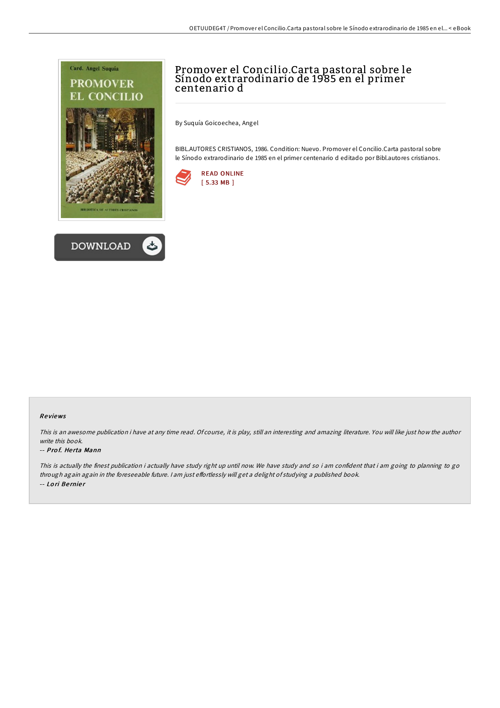



# Promover el Concilio.Carta pastoral sobre le Sínodo extrarodinario de 1985 en el primer centenario d

By Suquía Goicoechea, Angel

BIBL.AUTORES CRISTIANOS, 1986. Condition: Nuevo. Promover el Concilio.Carta pastoral sobre le Sínodo extrarodinario de 1985 en el primer centenario d editado por Bibl.autores cristianos.



### Re views

This is an awesome publication i have at any time read. Of course, it is play, still an interesting and amazing literature. You will like just how the author write this book.

#### -- Prof. Herta Mann

This is actually the finest publication i actually have study right up until now. We have study and so i am confident that i am going to planning to go through again again in the foreseeable future. I am just effortlessly will get a delight of studying a published book. -- Lo ri Be rnie r